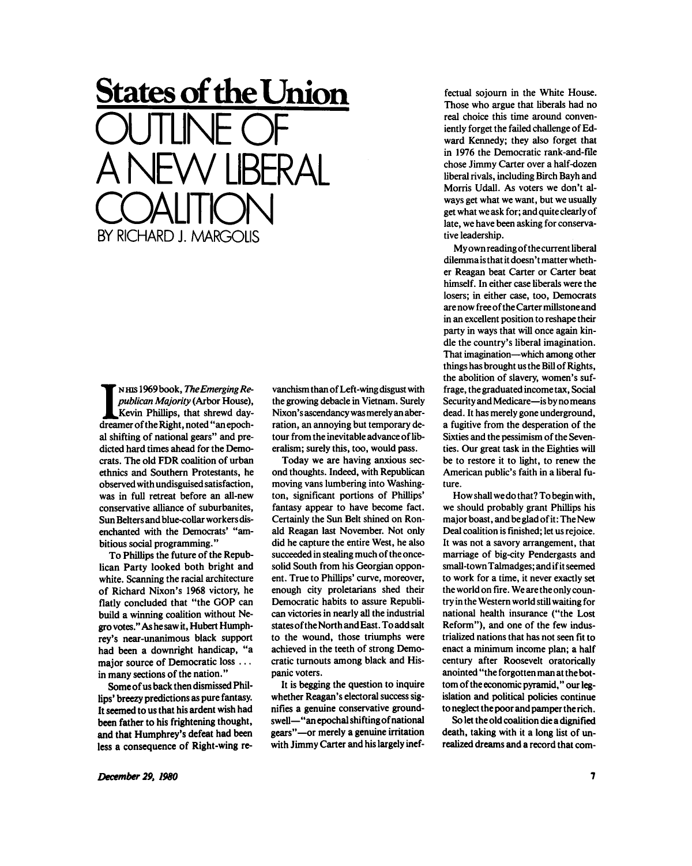## **States of the Union**  OUTLINE OF A NEW LIBERAL COALITON BY RICHARD J. MARGOLIS

IN HIS 1969 book, *The Emerging Republican Majority* (Arbor House), Kevin Phillips, that shrewd day-dreamer of the Right, noted "an epoch-N HIS 1969book, *The Emerging Republican Majority* (Arbor House), Kevin Phillips, that shrewd dayal shifting of national gears" and predicted hard times ahead for the Democrats. The old FDR coalition of urban ethnics and Southern Protestants, he observed with undisguised satisfaction, was in full retreat before an all-new conservative alliance of suburbanites, Sun Belters and blue-collar workers disenchanted with the Democrats' "ambitious social programming."

To Phillips the future of the Republican Party looked both bright and white. Scanning the racial architecture of Richard Nixon's 1968 victory, he flatly concluded that "the GOP can build a winning coalition without Negro votes." As he saw it, Hubert Humphrey's near-unanimous black support had been a downright handicap, "a major source of Democratic loss .. . in many sections of the nation."

Some of us back then dismissed Phillips' breezy predictions as pure fantasy. It seemed to us that his ardent wish had been father to his frightening thought, and that Humphrey's defeat had been less a consequence of Right-wing revanchism than of Left-wing disgust with the growing debacle in Vietnam. Surely Nixon's ascendancy was merely an aberration, an annoying but temporary detour from the inevitable advanceof liberalism; surely this, too, would pass.

Today we are having anxious second thoughts. Indeed, with Republican moving vans lumbering into Washington, significant portions of Phillips' fantasy appear to have become fact. Certainly the Sun Belt shined on Ronald Reagan last November. Not only did he capture the entire West, he also succeeded in stealing much of the oncesolid South from his Georgian opponent. True to Phillips' curve, moreover, enough city proletarians shed their Democratic habits to assure Republican victories in nearly all the industrial statesof the North and East. To add salt to the wound, those triumphs were achieved in the teeth of strong Democratic turnouts among black and Hispanic voters.

It is begging the question to inquire whether Reagan's electoral success signifies a genuine conservative groundswell—"an epochal shifting of national gears"—or merely a genuine irritation with Jimmy Carter and his largely ineffectual sojourn in the White House. Those who argue that liberals had no real choice this time around conveniently forget the failed challenge of Edward Kennedy; they also forget that in 1976 the Democratic rank-and-file chose Jimmy Carter over a half-dozen liberal rivals, including Birch Bayh and Morris Udall. As voters we don't always get what we want, but we usually get what we ask for; and quite clearly of late, we have been asking for conservative leadership.

My own reading of the current liberal dilemma is that it doesn't matter whether Reagan beat Carter or Carter beat himself. In either case liberals were the losers; in either case, too, Democrats are now free of the Carter millstone and in an excellent position to reshape their party in ways that will once again kindle the country's liberal imagination. That imagination—which among other things has brought us the Bill of Rights, the abolition of slavery, women's suffrage, the graduated income tax, Social Security and Medicare—is by no means dead. It has merely gone underground, a fugitive from the desperation of the Sixties and the pessimism of the Seventies. Our great task in the Eighties will be to restore it to light, to renew the American public's faith in a liberal future.

How shall we do that? To begin with, we should probably grant Phillips his major boast, and be glad of it: The New Deal coalition is finished; let us rejoice. It was not a savory arrangement, that marriage of big-city Pendergasts and small-town Talmadges; and if it seemed to work for a time, it never exactly set the world on fire. We are the only country in the Western world still waiting for national health insurance ("the Lost Reform"), and one of the few industrialized nations that has not seen fit to enact a minimum income plan; a half century after Roosevelt oratorically anointed "the forgotten man at thebottom of the economic pyramid," our legislation and political policies continue to neglect the poor and pamper the rich.

So let the old coalition die a dignified death, taking with it a long list of unrealized dreams and a record that com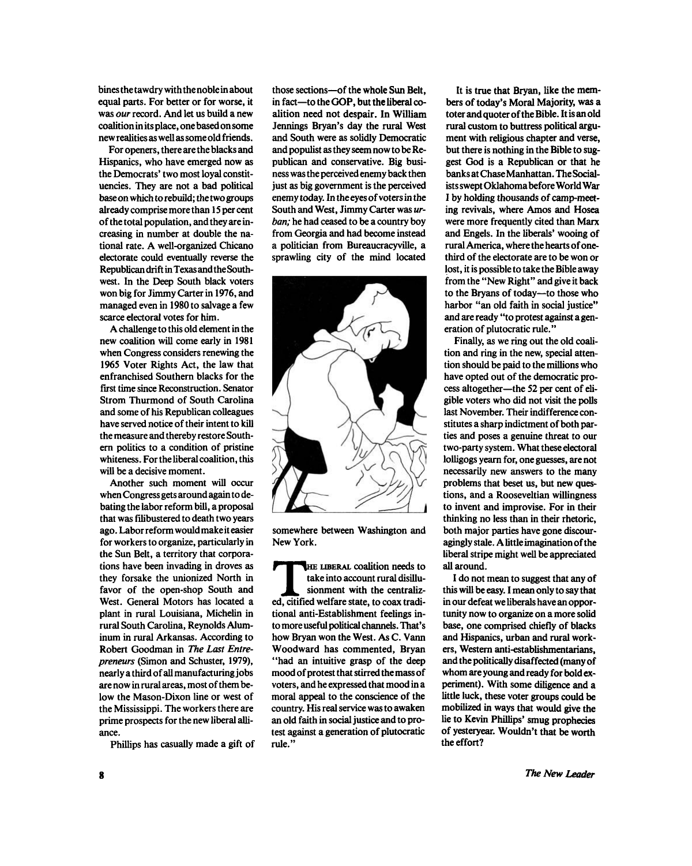bines the tawdry with the noble in about equal parts. For better or for worse, it was *our* record. And let us build a new coalition in its place, one based on some new realities as well as some old friends.

For openers, there are the blacks and Hispanics, who have emerged now as the Democrats' two most loyal constituencies. They are not a bad political base on which to rebuild; the two groups already comprise more than 15 per cent of the total population, and they are increasing in number at double the national rate. A well-organized Chicano electorate could eventually reverse the Republican drift in Texas and the Southwest. In the Deep South black voters won big for Jimmy Carter in 1976, and managed even in 1980 to salvage a few scarce electoral votes for him.

A challenge to this old element in the new coalition will come early in 1981 when Congress considers renewing the 1965 Voter Rights Act, the law that enfranchised Southern blacks for the first time since Reconstruction. Senator Strom Thurmond of South Carolina and some of his Republican colleagues have served notice of their intent to kill the measure and thereby restore Southern politics to a condition of pristine whiteness. For the liberal coalition, this will be a decisive moment.

Another such moment will occur when Congress gets around again to debating the labor reform bill, a proposal that was filibustered to death two years ago. Labor reform would make it easier for workers to organize, particularly in the Sun Belt, a territory that corporations have been invading in droves as they forsake the unionized North in favor of the open-shop South and West. General Motors has located a plant in rural Louisiana, Michelin in rural South Carolina, Reynolds Aluminum in rural Arkansas. According to Robert Goodman in *The Last Entrepreneurs* (Simon and Schuster, 1979), nearly a third of all manufacturing jobs are now in rural areas, most of them below the Mason-Dixon line or west of the Mississippi. The workers there are prime prospects for the new liberal alliance.

Phillips has casually made a gift of

those sections—of the whole Sun Belt, in fact—to the GOP, but the liberal coalition need not despair. In William Jennings Bryan's day the rural West and South were as solidly Democratic and populistasthey seem now to be Republican and conservative. Big business was the perceived enemy back then just as big government is the perceived enemy today. In the eyes of voters in the South and West, Jimmy Carter was *urban;* he had ceased to be a country boy from Georgia and had become instead a politician from Bureaucracyville, a sprawling city of the mind located



somewhere between Washington and New York.

THE LIBERAL coalition needs to<br>
take into account rural disillu-<br>
sionment with the centraliz-<br>
ed, citified welfare state, to coax tradi-HE LIBERAL coalition needs to take into account rural disillusionment with the centraliztional anti-Establishment feelings into more useful political channels. That's how Bryan won the West. As C. Vann Woodward has commented, Bryan "had an intuitive grasp of the deep mood of protest that stirred the mass of voters, and he expressed that mood in a moral appeal to the conscience of the country. His real service was to awaken an old faith in social justice and to protest against a generation of plutocratic rule."

It is true that Bryan, like the members of today's Moral Majority, was a toter and quoter of the Bible. It is an old rural custom to buttress political argument with religious chapter and verse, but there is nothing in the Bible to suggest God is a Republican or that he banks at Chase Manhattan. The Socialists swept Oklahoma before World War I by holding thousands of camp-meeting revivals, where Amos and Hosea were more frequently cited than Marx and Engels. In the liberals' wooing of rural America, where the hearts of onethird of the electorate are to be won or lost, it is possible to take the Bible away from the "New Right" and give it back to the Bryans of today—to those who harbor "an old faith in social justice" and are ready "to protest against a generation of plutocratic rule."

Finally, as we ring out the old coalition and ring in the new, special attention should be paid to the millions who have opted out of the democratic process altogether—the 52 per cent of eligible voters who did not visit the polls last November. Their indifference constitutes a sharp indictment of both parties and poses a genuine threat to our two-party system. What these electoral lolligogs yearn for, one guesses, are not necessarily new answers to the many problems that beset us, but new questions, and a Rooseveltian willingness to invent and improvise. For in their thinking no less than in their rhetoric, both major parties have gone discouragingly stale. A little imagination of the liberal stripe might well be appreciated all around.

I do not mean to suggest that any of this will be easy. I mean only to say that in our defeat we liberals have an opportunity now to organize on a more solid base, one comprised chiefly of blacks and Hispanics, urban and rural workers, Western anti-establishmentarians, and the politically disaffected (many of whom are young and ready for bold experiment). With some diligence and a little luck, these voter groups could be mobilized in ways that would give the lie to Kevin Phillips' smug prophecies of yesteryear. Wouldn't that be worth the effort?